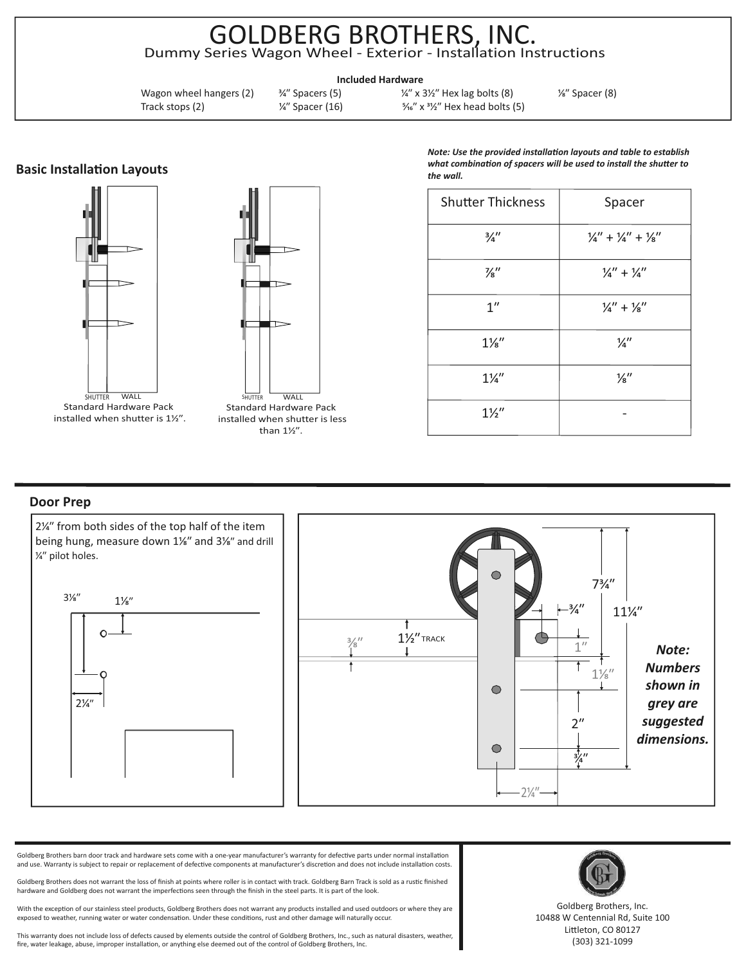## GOLDBERG BROTHERS, INC. Dummy Series Wagon Wheel - Exterior - Installation Instructions

**Included Hardware**

Wagon wheel hangers (2)  $\frac{3}{4}$  Spacers (5)  $\frac{1}{4}$   $\frac{1}{4}$  x 3<sup>1</sup>/<sub>2</sub> Hex lag bolts (8)  $\frac{1}{8}$  Spacer (8) Track stops (2)  $\frac{1}{4}$  Spacer (16)  $\frac{5}{4}$  x  $\frac{3}{2}$  Hex head bolts (5)

**Basic Installation Layouts** 





*Note: Use the provided installation layouts and table to establish* what combination of spacers will be used to install the shutter to *the wall.* 

| <b>Shutter Thickness</b> | Spacer                          |
|--------------------------|---------------------------------|
| $\frac{3}{4}$ "          | $1/4'' + 1/4'' + 1/8''$         |
| $\frac{7}{8}$ "          | $\frac{1}{4}$ + $\frac{1}{4}$   |
| 1 <sup>''</sup>          | $\frac{1}{4}$ + $\frac{1}{8}$ " |
| $1\frac{1}{8}$           | $\frac{1}{4}$                   |
| $1\frac{1}{4}$           | $\frac{1}{8}$ "                 |
| $1\frac{1}{2}$           |                                 |

## **Door Prep**



Goldberg Brothers barn door track and hardware sets come with a one-year manufacturer's warranty for defective parts under normal installation and use. Warranty is subject to repair or replacement of defective components at manufacturer's discretion and does not include installation costs.

Goldberg Brothers does not warrant the loss of finish at points where roller is in contact with track. Goldberg Barn Track is sold as a rustic finished hardware and Goldberg does not warrant the imperfections seen through the finish in the steel parts. It is part of the look.

With the exception of our stainless steel products, Goldberg Brothers does not warrant any products installed and used outdoors or where they are exposed to weather, running water or water condensation. Under these conditions, rust and other damage will naturally occur.

This warranty does not include loss of defects caused by elements outside the control of Goldberg Brothers, Inc., such as natural disasters, weather, fire, water leakage, abuse, improper installation, or anything else deemed out of the control of Goldberg Brothers, Inc.



Goldberg Brothers, Inc. 10488 W Centennial Rd, Suite 100 Littleton, CO 80127 (303) 321-1099